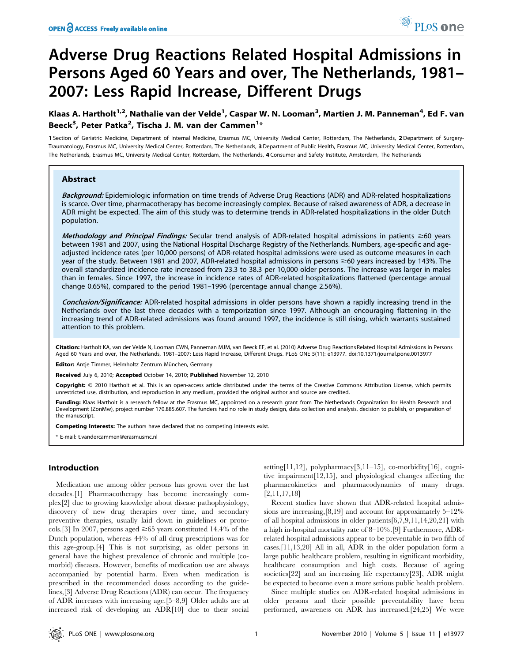# Adverse Drug Reactions Related Hospital Admissions in Persons Aged 60 Years and over, The Netherlands, 1981– 2007: Less Rapid Increase, Different Drugs

# Klaas A. Hartholt<sup>1,2</sup>, Nathalie van der Velde<sup>1</sup>, Caspar W. N. Looman<sup>3</sup>, Martien J. M. Panneman<sup>4</sup>, Ed F. van Beeck<sup>3</sup>, Peter Patka<sup>2</sup>, Tischa J. M. van der Cammen<sup>1</sup>\*

1 Section of Geriatric Medicine, Department of Internal Medicine, Erasmus MC, University Medical Center, Rotterdam, The Netherlands, 2 Department of Surgery-Traumatology, Erasmus MC, University Medical Center, Rotterdam, The Netherlands, 3 Department of Public Health, Erasmus MC, University Medical Center, Rotterdam, The Netherlands, Erasmus MC, University Medical Center, Rotterdam, The Netherlands, 4 Consumer and Safety Institute, Amsterdam, The Netherlands

## Abstract

Background: Epidemiologic information on time trends of Adverse Drug Reactions (ADR) and ADR-related hospitalizations is scarce. Over time, pharmacotherapy has become increasingly complex. Because of raised awareness of ADR, a decrease in ADR might be expected. The aim of this study was to determine trends in ADR-related hospitalizations in the older Dutch population.

Methodology and Principal Findings: Secular trend analysis of ADR-related hospital admissions in patients  $\geq 60$  years between 1981 and 2007, using the National Hospital Discharge Registry of the Netherlands. Numbers, age-specific and ageadjusted incidence rates (per 10,000 persons) of ADR-related hospital admissions were used as outcome measures in each year of the study. Between 1981 and 2007, ADR-related hospital admissions in persons ≥60 years increased by 143%. The overall standardized incidence rate increased from 23.3 to 38.3 per 10,000 older persons. The increase was larger in males than in females. Since 1997, the increase in incidence rates of ADR-related hospitalizations flattened (percentage annual change 0.65%), compared to the period 1981–1996 (percentage annual change 2.56%).

Conclusion/Significance: ADR-related hospital admissions in older persons have shown a rapidly increasing trend in the Netherlands over the last three decades with a temporization since 1997. Although an encouraging flattening in the increasing trend of ADR-related admissions was found around 1997, the incidence is still rising, which warrants sustained attention to this problem.

Citation: Hartholt KA, van der Velde N, Looman CWN, Panneman MJM, van Beeck EF, et al. (2010) Adverse Drug Reactions Related Hospital Admissions in Persons Aged 60 Years and over, The Netherlands, 1981–2007: Less Rapid Increase, Different Drugs. PLoS ONE 5(11): e13977. doi:10.1371/journal.pone.0013977

Editor: Antje Timmer, Helmholtz Zentrum München, Germany

Received July 6, 2010; Accepted October 14, 2010; Published November 12, 2010

**Copyright:** © 2010 Hartholt et al. This is an open-access article distributed under the terms of the Creative Commons Attribution License, which permits unrestricted use, distribution, and reproduction in any medium, provided the original author and source are credited.

Funding: Klaas Hartholt is a research fellow at the Erasmus MC, appointed on a research grant from The Netherlands Organization for Health Research and Development (ZonMw), project number 170.885.607. The funders had no role in study design, data collection and analysis, decision to publish, or preparation of the manuscript.

Competing Interests: The authors have declared that no competing interests exist.

\* E-mail: t.vandercammen@erasmusmc.nl

# Introduction

Medication use among older persons has grown over the last decades.[1] Pharmacotherapy has become increasingly complex[2] due to growing knowledge about disease pathophysiology, discovery of new drug therapies over time, and secondary preventive therapies, usually laid down in guidelines or protocols.[3] In 2007, persons aged  $\geq 65$  years constituted 14.4% of the Dutch population, whereas 44% of all drug prescriptions was for this age-group.[4] This is not surprising, as older persons in general have the highest prevalence of chronic and multiple (comorbid) diseases. However, benefits of medication use are always accompanied by potential harm. Even when medication is prescribed in the recommended doses according to the guidelines,[3] Adverse Drug Reactions (ADR) can occur. The frequency of ADR increases with increasing age.[5–8,9] Older adults are at increased risk of developing an ADR[10] due to their social

setting[11,12], polypharmacy[3,11–15], co-morbidity[16], cognitive impairment[12,15], and physiological changes affecting the pharmacokinetics and pharmacodynamics of many drugs. [2,11,17,18]

Recent studies have shown that ADR-related hospital admissions are increasing,[8,19] and account for approximately 5–12% of all hospital admissions in older patients[6,7,9,11,14,20,21] with a high in-hospital mortality rate of 8–10%.[9] Furthermore, ADRrelated hospital admissions appear to be preventable in two fifth of cases.[11,13,20] All in all, ADR in the older population form a large public healthcare problem, resulting in significant morbidity, healthcare consumption and high costs. Because of ageing societies[22] and an increasing life expectancy[23], ADR might be expected to become even a more serious public health problem.

Since multiple studies on ADR-related hospital admissions in older persons and their possible preventability have been performed, awareness on ADR has increased.[24,25] We were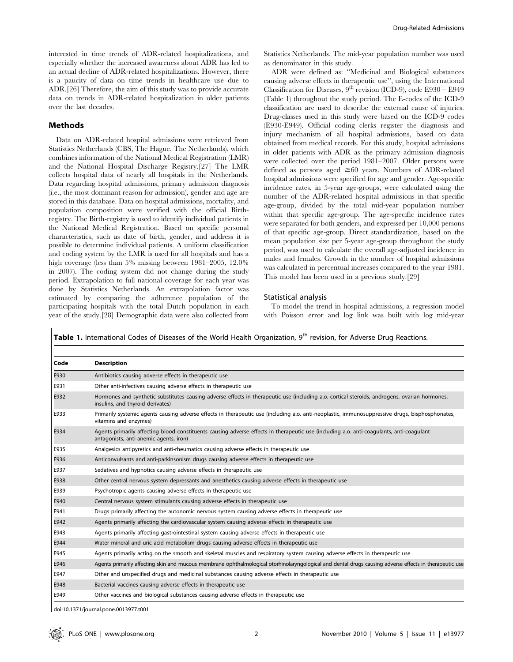interested in time trends of ADR-related hospitalizations, and especially whether the increased awareness about ADR has led to an actual decline of ADR-related hospitalizations. However, there is a paucity of data on time trends in healthcare use due to ADR.[26] Therefore, the aim of this study was to provide accurate data on trends in ADR-related hospitalization in older patients over the last decades.

#### Methods

Data on ADR-related hospital admissions were retrieved from Statistics Netherlands (CBS, The Hague, The Netherlands), which combines information of the National Medical Registration (LMR) and the National Hospital Discharge Registry.[27] The LMR collects hospital data of nearly all hospitals in the Netherlands. Data regarding hospital admissions, primary admission diagnosis (i.e., the most dominant reason for admission), gender and age are stored in this database. Data on hospital admissions, mortality, and population composition were verified with the official Birthregistry. The Birth-registry is used to identify individual patients in the National Medical Registration. Based on specific personal characteristics, such as date of birth, gender, and address it is possible to determine individual patients. A uniform classification and coding system by the LMR is used for all hospitals and has a high coverage (less than 5% missing between 1981–2005, 12.0%) in 2007). The coding system did not change during the study period. Extrapolation to full national coverage for each year was done by Statistics Netherlands. An extrapolation factor was estimated by comparing the adherence population of the participating hospitals with the total Dutch population in each year of the study.[28] Demographic data were also collected from

Statistics Netherlands. The mid-year population number was used as denominator in this study.

ADR were defined as: ''Medicinal and Biological substances causing adverse effects in therapeutic use'', using the International Classification for Diseases,  $9^{th}$  revision (ICD-9), code E930 – E949 (Table 1) throughout the study period. The E-codes of the ICD-9 classification are used to describe the external cause of injuries. Drug-classes used in this study were based on the ICD-9 codes (E930-E949). Official coding clerks register the diagnosis and injury mechanism of all hospital admissions, based on data obtained from medical records. For this study, hospital admissions in older patients with ADR as the primary admission diagnosis were collected over the period 1981–2007. Older persons were defined as persons aged  $\geq 60$  years. Numbers of ADR-related hospital admissions were specified for age and gender. Age-specific incidence rates, in 5-year age-groups, were calculated using the number of the ADR-related hospital admissions in that specific age-group, divided by the total mid-year population number within that specific age-group. The age-specific incidence rates were separated for both genders, and expressed per 10,000 persons of that specific age-group. Direct standardization, based on the mean population size per 5-year age-group throughout the study period, was used to calculate the overall age-adjusted incidence in males and females. Growth in the number of hospital admissions was calculated in percentual increases compared to the year 1981. This model has been used in a previous study.[29]

#### Statistical analysis

To model the trend in hospital admissions, a regression model with Poisson error and log link was built with log mid-year

Table 1. International Codes of Diseases of the World Health Organization, 9<sup>th</sup> revision, for Adverse Drug Reactions.

| Code | <b>Description</b>                                                                                                                                                                 |
|------|------------------------------------------------------------------------------------------------------------------------------------------------------------------------------------|
| E930 | Antibiotics causing adverse effects in therapeutic use                                                                                                                             |
| E931 | Other anti-infectives causing adverse effects in therapeutic use                                                                                                                   |
| E932 | Hormones and synthetic substitutes causing adverse effects in therapeutic use (including a.o. cortical steroids, androgens, ovarian hormones,<br>insulins, and thyroid derivates)  |
| E933 | Primarily systemic agents causing adverse effects in therapeutic use (including a.o. anti-neoplastic, immunosuppressive drugs, bisphosphonates,<br>vitamins and enzymes)           |
| E934 | Agents primarily affecting blood constituents causing adverse effects in therapeutic use (including a.o. anti-coagulants, anti-coagulant<br>antagonists, anti-anemic agents, iron) |
| E935 | Analgesics antipyretics and anti-rheumatics causing adverse effects in therapeutic use                                                                                             |
| E936 | Anticonvulsants and anti-parkinsonism drugs causing adverse effects in therapeutic use                                                                                             |
| E937 | Sedatives and hypnotics causing adverse effects in therapeutic use                                                                                                                 |
| E938 | Other central nervous system depressants and anesthetics causing adverse effects in therapeutic use                                                                                |
| E939 | Psychotropic agents causing adverse effects in therapeutic use                                                                                                                     |
| E940 | Central nervous system stimulants causing adverse effects in therapeutic use                                                                                                       |
| E941 | Drugs primarily affecting the autonomic nervous system causing adverse effects in therapeutic use                                                                                  |
| E942 | Agents primarily affecting the cardiovascular system causing adverse effects in therapeutic use                                                                                    |
| E943 | Agents primarily affecting gastrointestinal system causing adverse effects in therapeutic use                                                                                      |
| E944 | Water mineral and uric acid metabolism drugs causing adverse effects in therapeutic use                                                                                            |
| E945 | Agents primarily acting on the smooth and skeletal muscles and respiratory system causing adverse effects in therapeutic use                                                       |
| E946 | Agents primarily affecting skin and mucous membrane ophthalmological otorhinolaryngological and dental drugs causing adverse effects in therapeutic use                            |
| E947 | Other and unspecified drugs and medicinal substances causing adverse effects in therapeutic use                                                                                    |
| E948 | Bacterial vaccines causing adverse effects in therapeutic use                                                                                                                      |
| E949 | Other vaccines and biological substances causing adverse effects in therapeutic use                                                                                                |

doi:10.1371/journal.pone.0013977.t001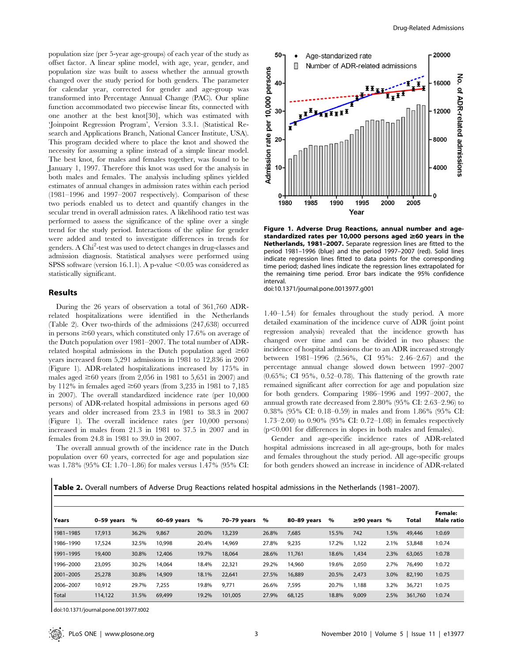population size (per 5-year age-groups) of each year of the study as offset factor. A linear spline model, with age, year, gender, and population size was built to assess whether the annual growth changed over the study period for both genders. The parameter for calendar year, corrected for gender and age-group was transformed into Percentage Annual Change (PAC). Our spline function accommodated two piecewise linear fits, connected with one another at the best knot[30], which was estimated with 'Joinpoint Regression Program', Version 3.3.1. (Statistical Research and Applications Branch, National Cancer Institute, USA). This program decided where to place the knot and showed the necessity for assuming a spline instead of a simple linear model. The best knot, for males and females together, was found to be January 1, 1997. Therefore this knot was used for the analysis in both males and females. The analysis including splines yielded estimates of annual changes in admission rates within each period (1981–1996 and 1997–2007 respectively). Comparison of these two periods enabled us to detect and quantify changes in the secular trend in overall admission rates. A likelihood ratio test was performed to assess the significance of the spline over a single trend for the study period. Interactions of the spline for gender were added and tested to investigate differences in trends for genders. A Chi<sup>2</sup>-test was used to detect changes in drug-classes and admission diagnosis. Statistical analyses were performed using SPSS software (version 16.1.1). A p-value  $< 0.05$  was considered as statistically significant.

#### Results

During the 26 years of observation a total of 361,760 ADRrelated hospitalizations were identified in the Netherlands (Table 2). Over two-thirds of the admissions (247,638) occurred in persons  $\geq 60$  years, which constituted only 17.6% on average of the Dutch population over 1981–2007. The total number of ADRrelated hospital admissions in the Dutch population aged  $\geq 60$ years increased from 5,291 admissions in 1981 to 12,836 in 2007 (Figure 1). ADR-related hospitalizations increased by 175% in males aged  $\geq 60$  years (from 2,056 in 1981 to 5,651 in 2007) and by 112% in females aged  $\geq 60$  years (from 3,235 in 1981 to 7,185 in 2007). The overall standardized incidence rate (per 10,000 persons) of ADR-related hospital admissions in persons aged 60 years and older increased from 23.3 in 1981 to 38.3 in 2007 (Figure 1). The overall incidence rates (per 10,000 persons) increased in males from 21.3 in 1981 to 37.5 in 2007 and in females from 24.8 in 1981 to 39.0 in 2007.

The overall annual growth of the incidence rate in the Dutch population over 60 years, corrected for age and population size was 1.78% (95% CI: 1.70–1.86) for males versus 1.47% (95% CI:



Figure 1. Adverse Drug Reactions, annual number and agestandardized rates per 10,000 persons aged  $\geq 60$  years in the Netherlands, 1981–2007. Separate regression lines are fitted to the period 1981–1996 (blue) and the period 1997–2007 (red). Solid lines indicate regression lines fitted to data points for the corresponding time period; dashed lines indicate the regression lines extrapolated for the remaining time period. Error bars indicate the 95% confidence interval.

doi:10.1371/journal.pone.0013977.g001

1.40–1.54) for females throughout the study period. A more detailed examination of the incidence curve of ADR (joint point regression analysis) revealed that the incidence growth has changed over time and can be divided in two phases: the incidence of hospital admissions due to an ADR increased strongly between 1981–1996 (2.56%, CI 95%: 2.46–2.67) and the percentage annual change slowed down between 1997–2007 (0.65%; CI 95%, 0.52–0.78). This flattening of the growth rate remained significant after correction for age and population size for both genders. Comparing 1986–1996 and 1997–2007, the annual growth rate decreased from 2.80% (95% CI: 2.63–2.96) to 0.38% (95% CI: 0.18–0.59) in males and from 1.86% (95% CI: 1.73–2.00) to 0.90% (95% CI: 0.72–1.08) in females respectively  $(p<0.001$  for differences in slopes in both males and females).

Gender and age-specific incidence rates of ADR-related hospital admissions increased in all age-groups, both for males and females throughout the study period. All age-specific groups for both genders showed an increase in incidence of ADR-related

Table 2. Overall numbers of Adverse Drug Reactions related hospital admissions in the Netherlands (1981–2007).

|           |            |       |             |       |             |       |             |       |                   |      |         | <b>Female:</b> |
|-----------|------------|-------|-------------|-------|-------------|-------|-------------|-------|-------------------|------|---------|----------------|
| Years     | 0-59 years | $\%$  | 60-69 years | $\%$  | 70-79 years | $\%$  | 80-89 years | %     | $\geq$ 90 years % |      | Total   | Male ratio     |
| 1981-1985 | 17,913     | 36.2% | 9,867       | 20.0% | 13,239      | 26.8% | 7,685       | 15.5% | 742               | 1.5% | 49,446  | 1:0.69         |
| 1986-1990 | 17,524     | 32.5% | 10,998      | 20.4% | 14,969      | 27.8% | 9,235       | 17.2% | 1,122             | 2.1% | 53,848  | 1:0.74         |
| 1991-1995 | 19,400     | 30.8% | 12,406      | 19.7% | 18.064      | 28.6% | 11,761      | 18.6% | 1,434             | 2.3% | 63.065  | 1:0.78         |
| 1996-2000 | 23,095     | 30.2% | 14.064      | 18.4% | 22,321      | 29.2% | 14,960      | 19.6% | 2,050             | 2.7% | 76.490  | 1:0.72         |
| 2001-2005 | 25,278     | 30.8% | 14,909      | 18.1% | 22,641      | 27.5% | 16,889      | 20.5% | 2,473             | 3.0% | 82,190  | 1:0.75         |
| 2006-2007 | 10,912     | 29.7% | 7.255       | 19.8% | 9.771       | 26.6% | 7,595       | 20.7% | 1,188             | 3.2% | 36.721  | 1:0.75         |
| Total     | 114,122    | 31.5% | 69,499      | 19.2% | 101,005     | 27.9% | 68,125      | 18.8% | 9,009             | 2.5% | 361,760 | 1:0.74         |

doi:10.1371/journal.pone.0013977.t002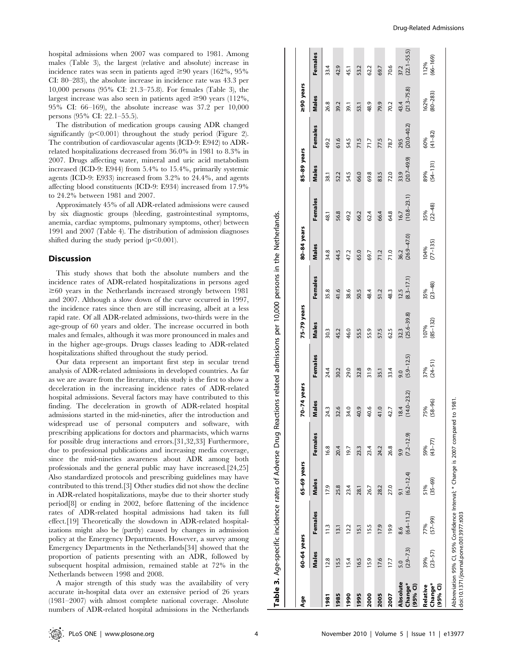hospital admissions when 2007 was compared to 1981. Among males (Table 3), the largest (relative and absolute) increase in incidence rates was seen in patients aged  $\geq 90$  years (162%, 95%) CI: 80–283), the absolute increase in incidence rate was 43.3 per 10,000 persons (95% CI: 21.3–75.8). For females (Table 3), the largest increase was also seen in patients aged  $\geq 90$  years (112%, 95% CI: 66–169), the absolute increase was 37.2 per 10,000 persons (95% CI: 22.1–55.5).

The distribution of medication groups causing ADR changed significantly  $(p<0.001)$  throughout the study period (Figure 2). The contribution of cardiovascular agents (ICD-9: E942) to ADRrelated hospitalizations decreased from 36.0% in 1981 to 8.3% in 2007. Drugs affecting water, mineral and uric acid metabolism increased (ICD-9: E944) from 5.4% to 15.4%, primarily systemic agents (ICD-9: E933) increased from 3.2% to 24.4%, and agents affecting blood constituents (ICD-9: E934) increased from 17.9% to 24.2% between 1981 and 2007.

Approximately 45% of all ADR-related admissions were caused by six diagnostic groups (bleeding, gastrointestinal symptoms, anemia, cardiac symptoms, pulmonary symptoms, other) between 1991 and 2007 (Table 4). The distribution of admission diagnoses shifted during the study period  $(p<0.001)$ .

## Discussion

This study shows that both the absolute numbers and the incidence rates of ADR-related hospitalizations in persons aged  $\geq 60$  years in the Netherlands increased strongly between 1981 and 2007. Although a slow down of the curve occurred in 1997, the incidence rates since then are still increasing, albeit at a less rapid rate. Of all ADR-related admissions, two-thirds were in the age-group of 60 years and older. The increase occurred in both males and females, although it was more pronounced in males and in the higher age-groups. Drugs classes leading to ADR-related hospitalizations shifted throughout the study period.

Our data represent an important first step in secular trend analysis of ADR-related admissions in developed countries. As far as we are aware from the literature, this study is the first to show a deceleration in the increasing incidence rates of ADR-related hospital admissions. Several factors may have contributed to this finding. The deceleration in growth of ADR-related hospital admissions started in the mid-nineties, after the introduction and widespread use of personal computers and software, with prescribing applications for doctors and pharmacists, which warns for possible drug interactions and errors.[31,32,33] Furthermore, due to professional publications and increasing media coverage, since the mid-nineties awareness about ADR among both professionals and the general public may have increased.[24,25] Also standardized protocols and prescribing guidelines may have contributed to this trend.[3] Other studies did not show the decline in ADR-related hospitalizations, maybe due to their shorter study period[8] or ending in 2002, before flattening of the incidence rates of ADR-related hospital admissions had taken its full effect.[19] Theoretically the slowdown in ADR-related hospitalizations might also be (partly) caused by changes in admission policy at the Emergency Departments. However, a survey among Emergency Departments in the Netherlands[34] showed that the proportion of patients presenting with an ADR, followed by subsequent hospital admission, remained stable at 72% in the Netherlands between 1998 and 2008.

A major strength of this study was the availability of very accurate in-hospital data over an extensive period of 26 years (1981–2007) with almost complete national coverage. Absolute numbers of ADR-related hospital admissions in the Netherlands

|                                   | 60-64 years          |                       | 65-69 years                      |                       | 70-74 years             |                       | 75-79 years             |                        | 80-84 years             |                         | 85-89 years             |                         | ≥90 years               |                         |
|-----------------------------------|----------------------|-----------------------|----------------------------------|-----------------------|-------------------------|-----------------------|-------------------------|------------------------|-------------------------|-------------------------|-------------------------|-------------------------|-------------------------|-------------------------|
|                                   | Males                | Females               | Males                            | Females               | Males                   | Females               | Males                   | Females                | Males                   | Females                 | Males                   | Females                 | Males                   | Females                 |
| 1981                              | 12.8                 | $\frac{3}{1}$         | 17.9                             | 16.8                  | 24.3                    | 24.4                  | 30.3                    | 35.8                   | 34.8                    | 48.1                    | 38.1                    | 49.2                    | 26.8                    | 33.4                    |
| 1985                              | 15.5                 | $\frac{13.1}{2}$      | 25.8                             | 20.4                  | 32.6                    | 30.2                  | 45.2                    | 41.6                   | 44.5                    | 56.8                    | 52.2                    | 61.6                    | 39.2                    | 42.9                    |
| 1990                              | 15.4                 | 12.2                  | 23.4                             | 19.7                  | 34.0                    | 29.0                  | 46.0                    | 38.6                   | 47.2                    | 49.2                    | 54.5                    | 54.5                    | 39.1                    | 45.1                    |
| 1995                              | 16.5                 | 15.1                  | 28.1                             | 23.3                  | 40.9                    | 32.8                  | 55.5                    | 50.5                   | 65.0                    | 66.2                    | 66.0                    | 71.5                    | 53.1                    | 53.2                    |
| 2000                              | 15.9                 | 15.5                  | 26.7                             | 23.4                  | 40.6                    | 31.9                  | 55.9                    | 48.4                   | 69.7                    | 62.4                    | 69.8                    | 71.7                    | 48.9                    | 62.2                    |
| 2005                              | 17.6                 | 17.9                  | 28.2                             | 24.2                  | 41.0                    | 35.1                  | 57.5                    | 51.2                   | 71.2                    | 66.4                    | 83.5                    | 77.5                    | 79.9                    | 69.7                    |
| 2007                              | 17.7                 | 19.9                  | 27.0                             | 26.8                  | 42.7                    | 33.4                  | 62.5                    | 48.3                   | 71.0                    | 64.8                    | 72.0                    | 78.7                    | 70.2                    | 70.6                    |
| Absolute<br>Change*<br>$(95%$ CI) | $(2.9 - 7.3)$<br>5.0 | $(6.4 - 11.2)$<br>8.6 | $(6.2 - 12.4)$<br>$\overline{9}$ | $(7.2 - 12.9)$<br>9.9 | $(14.0 - 23.2)$<br>18.4 | $(5.9 - 12.5)$<br>0.6 | $(25.6 - 39.8)$<br>32.3 | $(8.3 - 17.1)$<br>12.5 | $(26.9 - 47.0)$<br>36.2 | $(10.8 - 23.1)$<br>16.7 | $(20.7 - 49.9)$<br>33.9 | $(20.0 - 40.2)$<br>29.5 | $(21.3 - 75.8)$<br>43.4 | $(22.1 - 55.5)$<br>37.2 |
| Change*<br>Relative<br>(95% CI)   | $(23 - 57)$<br>39%   | $(57 - 99)$<br>77%    | $(35 - 69)$<br>51%               | $(43 - 77)$<br>59%    | $(58 - 96)$<br>75%      | $\frac{37%}{(24-51)}$ | $(85 - 132)$<br>107%    | $35%$<br>(23–48)       | $(77 - 135)$<br>104%    | $35%$<br>(22-48)        | $(54 - 131)$<br>89%     | $(41 - 82)$<br>60%      | $(80 - 283)$<br>162%    | $(66 - 169)$<br>112%    |

Table 3. Age-specific incidence rates of Adverse Drug Reactions related admissions per 10,000 persons in the Netherlands.

Table 3. Age-specific incidence rates of Adverse Drug Reactions related admissions per 10,000 persons in the Netherlands.

doi:10.1371/journal.pone.0013977.t003

doi:10.1371/journal.pone.0013977.t003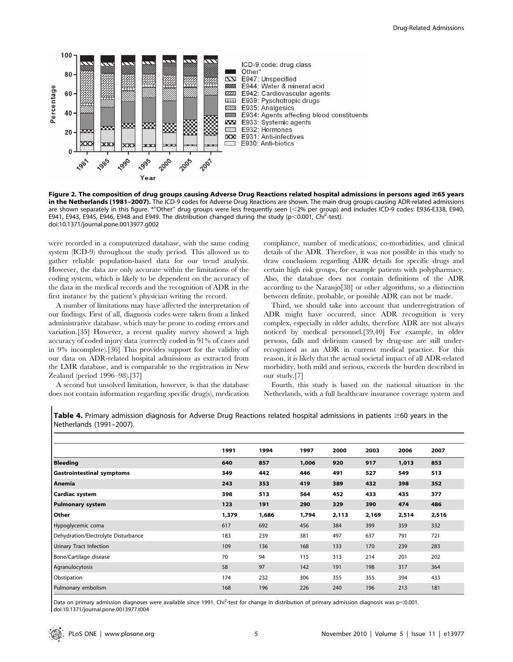

Figure 2. The composition of drug groups causing Adverse Drug Reactions related hospital admissions in persons aged  $\geq$ 65 years in the Netherlands (1981-2007). The ICD-9 codes for Adverse Drug Reactions are shown. The main drug groups causing ADR-related admissions are shown separately in this figure. \*"Other" drug groups were less frequently seen (<2% per group) and includes ICD-9 codes: E936-E338, E940, E941, E943, E945, E946, E948 and E949. The distribution changed during the study (p<0.001, Chi<sup>2</sup>-test). doi:10.1371/journal.pone.0013977.g002

were recorded in a computerized database, with the same coding system (ICD-9) throughout the study period. This allowed us to gather reliable population-based data for our trend analysis. However, the data are only accurate within the limitations of the coding system, which is likely to be dependent on the accuracy of the data in the medical records and the recognition of ADR in the first instance by the patient's physician writing the record.

A number of limitations may have affected the interpretation of our findings. First of all, diagnosis codes were taken from a linked administrative database, which may be prone to coding errors and variation.[35] However, a recent quality survey showed a high accuracy of coded injury data (correctly coded in 91% of cases and in 9% incomplete).[36] This provides support for the validity of our data on ADR-related hospital admissions as extracted from the LMR database, and is comparable to the registration in New Zealand (period 1996–98).[37]

A second but unsolved limitation, however, is that the database does not contain information regarding specific drug(s), medication compliance, number of medications, co-morbidities, and clinical details of the ADR. Therefore, it was not possible in this study to draw conclusions regarding ADR details for specific drugs and certain high risk groups, for example patients with polypharmacy. Also, the database does not contain definitions of the ADR according to the Naranjo[38] or other algorithms, so a distinction between definite, probable, or possible ADR can not be made.

Third, we should take into account that underregistration of ADR might have occurred, since ADR recognition is very complex, especially in older adults, therefore ADR are not always noticed by medical personnel.[39,40] For example, in older persons, falls and delirium caused by drug-use are still underrecognized as an ADR in current medical practice. For this reason, it is likely that the actual societal impact of all ADR-related morbidity, both mild and serious, exceeds the burden described in our study.[7]

Fourth, this study is based on the national situation in the Netherlands, with a full healthcare insurance coverage system and

Table 4. Primary admission diagnosis for Adverse Drug Reactions related hospital admissions in patients  $\geq$ 60 years in the Netherlands (1991–2007).

|                                     | 1991  | 1994  | 1997  | 2000  | 2003  | 2006  | 2007  |
|-------------------------------------|-------|-------|-------|-------|-------|-------|-------|
| <b>Bleeding</b>                     | 640   | 857   | 1,006 | 920   | 917   | 1,013 | 853   |
| <b>Gastrointestinal symptoms</b>    | 349   | 442   | 446   | 491   | 527   | 549   | 513   |
| Anemia                              | 243   | 353   | 419   | 389   | 432   | 398   | 352   |
| <b>Cardiac system</b>               | 398   | 513   | 564   | 452   | 433   | 435   | 377   |
| <b>Pulmonary system</b>             | 123   | 191   | 290   | 329   | 390   | 474   | 486   |
| Other                               | 1,379 | 1,686 | 1,794 | 2,113 | 2,169 | 2,514 | 2,516 |
| Hypoglycemic coma                   | 617   | 692   | 456   | 384   | 399   | 359   | 332   |
| Dehydration/Electrolyte Disturbance | 183   | 239   | 381   | 497   | 637   | 791   | 721   |
| Urinary Tract Infection             | 109   | 136   | 168   | 133   | 170   | 239   | 283   |
| Bone/Cartilage disease              | 70    | 94    | 115   | 313   | 214   | 201   | 202   |
| Agranulocytosis                     | 58    | 97    | 142   | 191   | 198   | 317   | 364   |
| Obstipation                         | 174   | 232   | 306   | 355   | 355   | 394   | 433   |
| Pulmonary embolism                  | 168   | 196   | 226   | 240   | 196   | 213   | 181   |

Data on primary admission diagnoses were available since 1991. Chi<sup>2</sup>-test for change in distribution of primary admission diagnosis was p<0.001. doi:10.1371/journal.pone.0013977.t004